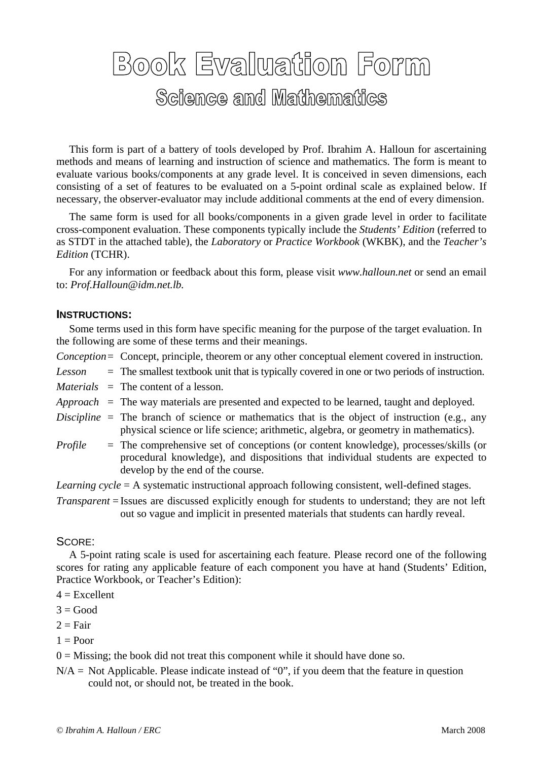## Book Evaluation Form Science and Mathematics

 This form is part of a battery of tools developed by Prof. Ibrahim A. Halloun for ascertaining methods and means of learning and instruction of science and mathematics. The form is meant to evaluate various books/components at any grade level. It is conceived in seven dimensions, each consisting of a set of features to be evaluated on a 5-point ordinal scale as explained below. If necessary, the observer-evaluator may include additional comments at the end of every dimension.

 The same form is used for all books/components in a given grade level in order to facilitate cross-component evaluation. These components typically include the *Students' Edition* (referred to as STDT in the attached table), the *Laboratory* or *Practice Workbook* (WKBK), and the *Teacher's Edition* (TCHR).

 For any information or feedback about this form, please visit *www.halloun.net* or send an email to: *Prof.Halloun@idm.net.lb.* 

## **INSTRUCTIONS:**

 Some terms used in this form have specific meaning for the purpose of the target evaluation. In the following are some of these terms and their meanings.

- *Conception* = Concept, principle, theorem or any other conceptual element covered in instruction.
- *Lesson* = The smallest textbook unit that is typically covered in one or two periods of instruction.
- *Materials* = The content of a lesson.
- *Approach* = The way materials are presented and expected to be learned, taught and deployed.
- *Discipline* = The branch of science or mathematics that is the object of instruction (e.g., any physical science or life science; arithmetic, algebra, or geometry in mathematics).
- *Profile* = The comprehensive set of conceptions (or content knowledge), processes/skills (or procedural knowledge), and dispositions that individual students are expected to develop by the end of the course.

*Learning cycle* = A systematic instructional approach following consistent, well-defined stages.

*Transparent* = Issues are discussed explicitly enough for students to understand; they are not left out so vague and implicit in presented materials that students can hardly reveal.

## SCORE:

 A 5-point rating scale is used for ascertaining each feature. Please record one of the following scores for rating any applicable feature of each component you have at hand (Students' Edition, Practice Workbook, or Teacher's Edition):

- $4 =$ Excellent
- $3 = Good$
- $2 = \text{Fair}$
- $1 =$  Poor

 $0 =$  Missing; the book did not treat this component while it should have done so.

 $N/A$  = Not Applicable. Please indicate instead of "0", if you deem that the feature in question could not, or should not, be treated in the book.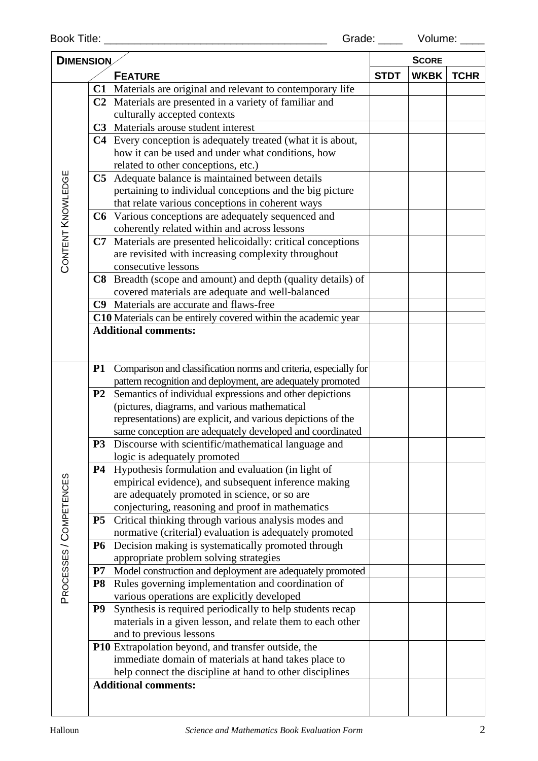| <b>DIMENSION</b>        |                |                                                                  | <b>SCORE</b> |             |  |
|-------------------------|----------------|------------------------------------------------------------------|--------------|-------------|--|
| <b>FEATURE</b>          |                | <b>STDT</b>                                                      | <b>WKBK</b>  | <b>TCHR</b> |  |
|                         |                | C1 Materials are original and relevant to contemporary life      |              |             |  |
|                         |                | C2 Materials are presented in a variety of familiar and          |              |             |  |
|                         |                | culturally accepted contexts                                     |              |             |  |
|                         |                | C3 Materials arouse student interest                             |              |             |  |
|                         |                | C4 Every conception is adequately treated (what it is about,     |              |             |  |
|                         |                | how it can be used and under what conditions, how                |              |             |  |
|                         |                | related to other conceptions, etc.)                              |              |             |  |
|                         |                | C5 Adequate balance is maintained between details                |              |             |  |
| CONTENT KNOWLEDGE       |                | pertaining to individual conceptions and the big picture         |              |             |  |
|                         |                | that relate various conceptions in coherent ways                 |              |             |  |
|                         |                | C6 Various conceptions are adequately sequenced and              |              |             |  |
|                         |                | coherently related within and across lessons                     |              |             |  |
|                         | C7             | Materials are presented helicoidally: critical conceptions       |              |             |  |
|                         |                | are revisited with increasing complexity throughout              |              |             |  |
|                         |                | consecutive lessons                                              |              |             |  |
|                         |                | C8 Breadth (scope and amount) and depth (quality details) of     |              |             |  |
|                         |                | covered materials are adequate and well-balanced                 |              |             |  |
|                         |                | C9 Materials are accurate and flaws-free                         |              |             |  |
|                         |                | C10 Materials can be entirely covered within the academic year   |              |             |  |
|                         |                | <b>Additional comments:</b>                                      |              |             |  |
|                         |                |                                                                  |              |             |  |
|                         |                |                                                                  |              |             |  |
|                         | <b>P1</b>      | Comparison and classification norms and criteria, especially for |              |             |  |
|                         |                | pattern recognition and deployment, are adequately promoted      |              |             |  |
|                         | P <sub>2</sub> | Semantics of individual expressions and other depictions         |              |             |  |
|                         |                | (pictures, diagrams, and various mathematical                    |              |             |  |
|                         |                | representations) are explicit, and various depictions of the     |              |             |  |
|                         |                | same conception are adequately developed and coordinated         |              |             |  |
|                         | P <sub>3</sub> | Discourse with scientific/mathematical language and              |              |             |  |
|                         |                | logic is adequately promoted                                     |              |             |  |
|                         | <b>P4</b>      | Hypothesis formulation and evaluation (in light of               |              |             |  |
|                         |                | empirical evidence), and subsequent inference making             |              |             |  |
| PROCESSES / COMPETENCES |                | are adequately promoted in science, or so are                    |              |             |  |
|                         |                | conjecturing, reasoning and proof in mathematics                 |              |             |  |
|                         | <b>P5</b>      | Critical thinking through various analysis modes and             |              |             |  |
|                         |                | normative (criterial) evaluation is adequately promoted          |              |             |  |
|                         | <b>P6</b>      | Decision making is systematically promoted through               |              |             |  |
|                         |                | appropriate problem solving strategies                           |              |             |  |
|                         | P7             | Model construction and deployment are adequately promoted        |              |             |  |
|                         | <b>P8</b>      | Rules governing implementation and coordination of               |              |             |  |
|                         |                | various operations are explicitly developed                      |              |             |  |
|                         | P <sub>9</sub> | Synthesis is required periodically to help students recap        |              |             |  |
|                         |                | materials in a given lesson, and relate them to each other       |              |             |  |
|                         |                | and to previous lessons                                          |              |             |  |
|                         |                | P10 Extrapolation beyond, and transfer outside, the              |              |             |  |
|                         |                | immediate domain of materials at hand takes place to             |              |             |  |
|                         |                | help connect the discipline at hand to other disciplines         |              |             |  |
|                         |                | <b>Additional comments:</b>                                      |              |             |  |
|                         |                |                                                                  |              |             |  |
|                         |                |                                                                  |              |             |  |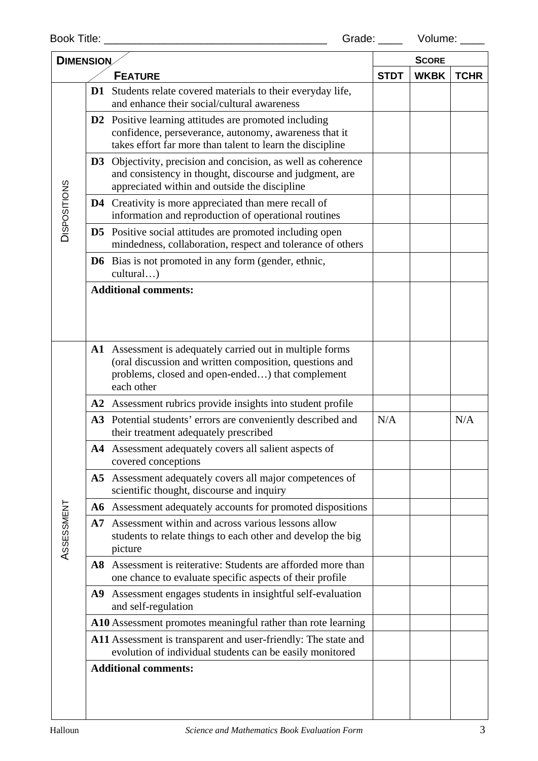| <b>DIMENSION</b>    |    |                                                                                                                                                                                        | <b>SCORE</b> |             |     |
|---------------------|----|----------------------------------------------------------------------------------------------------------------------------------------------------------------------------------------|--------------|-------------|-----|
| <b>FEATURE</b>      |    | <b>STDT</b>                                                                                                                                                                            | <b>WKBK</b>  | <b>TCHR</b> |     |
| <b>DISPOSITIONS</b> | D1 | Students relate covered materials to their everyday life,<br>and enhance their social/cultural awareness                                                                               |              |             |     |
|                     |    | <b>D2</b> Positive learning attitudes are promoted including<br>confidence, perseverance, autonomy, awareness that it<br>takes effort far more than talent to learn the discipline     |              |             |     |
|                     |    | <b>D3</b> Objectivity, precision and concision, as well as coherence<br>and consistency in thought, discourse and judgment, are<br>appreciated within and outside the discipline       |              |             |     |
|                     |    | <b>D4</b> Creativity is more appreciated than mere recall of<br>information and reproduction of operational routines                                                                   |              |             |     |
|                     |    | <b>D5</b> Positive social attitudes are promoted including open<br>mindedness, collaboration, respect and tolerance of others                                                          |              |             |     |
|                     |    | <b>D6</b> Bias is not promoted in any form (gender, ethnic,<br>cultural)                                                                                                               |              |             |     |
|                     |    | <b>Additional comments:</b>                                                                                                                                                            |              |             |     |
|                     |    | A1 Assessment is adequately carried out in multiple forms<br>(oral discussion and written composition, questions and<br>problems, closed and open-ended) that complement<br>each other |              |             |     |
|                     |    | A2 Assessment rubrics provide insights into student profile                                                                                                                            |              |             |     |
|                     |    | A3 Potential students' errors are conveniently described and<br>their treatment adequately prescribed                                                                                  | N/A          |             | N/A |
|                     |    | A4 Assessment adequately covers all salient aspects of<br>covered conceptions                                                                                                          |              |             |     |
|                     |    | A5 Assessment adequately covers all major competences of<br>scientific thought, discourse and inquiry                                                                                  |              |             |     |
|                     |    | A6 Assessment adequately accounts for promoted dispositions                                                                                                                            |              |             |     |
| ASSESSMENT          |    | A7 Assessment within and across various lessons allow<br>students to relate things to each other and develop the big<br>picture                                                        |              |             |     |
|                     |    | A8 Assessment is reiterative: Students are afforded more than<br>one chance to evaluate specific aspects of their profile                                                              |              |             |     |
|                     |    | A9 Assessment engages students in insightful self-evaluation<br>and self-regulation                                                                                                    |              |             |     |
|                     |    | A10 Assessment promotes meaningful rather than rote learning                                                                                                                           |              |             |     |
|                     |    | A11 Assessment is transparent and user-friendly: The state and<br>evolution of individual students can be easily monitored                                                             |              |             |     |
|                     |    | <b>Additional comments:</b>                                                                                                                                                            |              |             |     |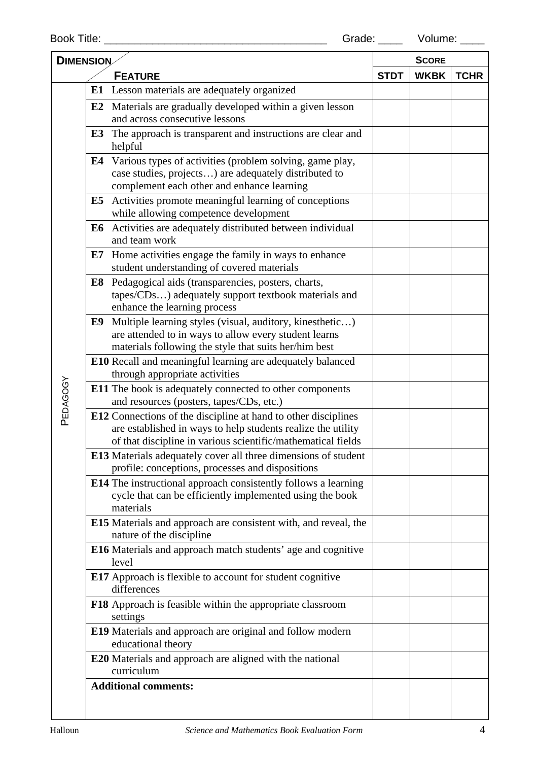| <b>DIMENSION</b> |                                                                                              |                                                                                                                                                                                                | <b>SCORE</b> |             |             |
|------------------|----------------------------------------------------------------------------------------------|------------------------------------------------------------------------------------------------------------------------------------------------------------------------------------------------|--------------|-------------|-------------|
|                  | <b>FEATURE</b>                                                                               |                                                                                                                                                                                                | <b>STDT</b>  | <b>WKBK</b> | <b>TCHR</b> |
|                  |                                                                                              | E1 Lesson materials are adequately organized                                                                                                                                                   |              |             |             |
|                  |                                                                                              | E2 Materials are gradually developed within a given lesson<br>and across consecutive lessons                                                                                                   |              |             |             |
|                  | E3                                                                                           | The approach is transparent and instructions are clear and<br>helpful                                                                                                                          |              |             |             |
|                  |                                                                                              | <b>E4</b> Various types of activities (problem solving, game play,<br>case studies, projects) are adequately distributed to<br>complement each other and enhance learning                      |              |             |             |
|                  |                                                                                              | E5 Activities promote meaningful learning of conceptions<br>while allowing competence development                                                                                              |              |             |             |
|                  |                                                                                              | E6 Activities are adequately distributed between individual<br>and team work                                                                                                                   |              |             |             |
|                  |                                                                                              | E7 Home activities engage the family in ways to enhance<br>student understanding of covered materials                                                                                          |              |             |             |
|                  | E8                                                                                           | Pedagogical aids (transparencies, posters, charts,<br>tapes/CDs) adequately support textbook materials and<br>enhance the learning process                                                     |              |             |             |
|                  | E9                                                                                           | Multiple learning styles (visual, auditory, kinesthetic)<br>are attended to in ways to allow every student learns<br>materials following the style that suits her/him best                     |              |             |             |
|                  | E10 Recall and meaningful learning are adequately balanced<br>through appropriate activities |                                                                                                                                                                                                |              |             |             |
| PEDAGOGY         |                                                                                              | <b>E11</b> The book is adequately connected to other components<br>and resources (posters, tapes/CDs, etc.)                                                                                    |              |             |             |
|                  |                                                                                              | E12 Connections of the discipline at hand to other disciplines<br>are established in ways to help students realize the utility<br>of that discipline in various scientific/mathematical fields |              |             |             |
|                  |                                                                                              | E13 Materials adequately cover all three dimensions of student<br>profile: conceptions, processes and dispositions                                                                             |              |             |             |
|                  |                                                                                              | <b>E14</b> The instructional approach consistently follows a learning<br>cycle that can be efficiently implemented using the book<br>materials                                                 |              |             |             |
|                  |                                                                                              | E15 Materials and approach are consistent with, and reveal, the<br>nature of the discipline                                                                                                    |              |             |             |
|                  |                                                                                              | E16 Materials and approach match students' age and cognitive<br>level                                                                                                                          |              |             |             |
|                  |                                                                                              | <b>E17</b> Approach is flexible to account for student cognitive<br>differences                                                                                                                |              |             |             |
|                  |                                                                                              | F18 Approach is feasible within the appropriate classroom<br>settings                                                                                                                          |              |             |             |
|                  |                                                                                              | E19 Materials and approach are original and follow modern<br>educational theory                                                                                                                |              |             |             |
|                  |                                                                                              | <b>E20</b> Materials and approach are aligned with the national<br>curriculum                                                                                                                  |              |             |             |
|                  |                                                                                              | <b>Additional comments:</b>                                                                                                                                                                    |              |             |             |
|                  |                                                                                              |                                                                                                                                                                                                |              |             |             |